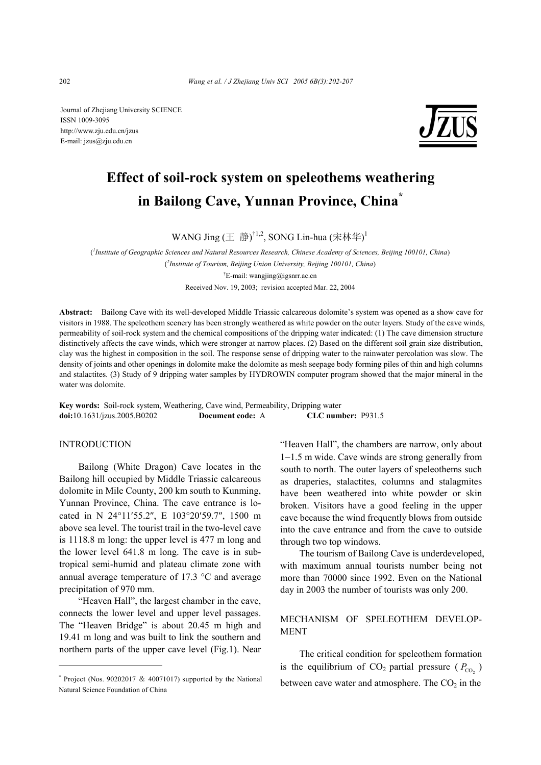Journal of Zhejiang University SCIENCE ISSN 1009-3095 http://www.zju.edu.cn/jzus E-mail: jzus@zju.edu.cn



# **Effect of soil-rock system on speleothems weathering in Bailong Cave, Yunnan Province, China\***

WANG Jing (王 静) $^{\dagger1,2}$ , SONG Lin-hua (宋林华) $^{\dagger}$ 

( *1 Institute of Geographic Sciences and Natural Resources Research, Chinese Academy of Sciences, Beijing 100101, China*) ( *2 Institute of Tourism, Beijing Union University, Beijing 100101, China*) † E-mail: wangjing@igsnrr.ac.cn

Received Nov. 19, 2003; revision accepted Mar. 22, 2004

**Abstract:** Bailong Cave with its well-developed Middle Triassic calcareous dolomite's system was opened as a show cave for visitors in 1988. The speleothem scenery has been strongly weathered as white powder on the outer layers. Study of the cave winds, permeability of soil-rock system and the chemical compositions of the dripping water indicated: (1) The cave dimension structure distinctively affects the cave winds, which were stronger at narrow places. (2) Based on the different soil grain size distribution, clay was the highest in composition in the soil. The response sense of dripping water to the rainwater percolation was slow. The density of joints and other openings in dolomite make the dolomite as mesh seepage body forming piles of thin and high columns and stalactites. (3) Study of 9 dripping water samples by HYDROWIN computer program showed that the major mineral in the water was dolomite.

**Key words:** Soil-rock system, Weathering, Cave wind, Permeability, Dripping water **doi:**10.1631/jzus.2005.B0202 **Document code:** A **CLC number:** P931.5

# **INTRODUCTION**

Bailong (White Dragon) Cave locates in the Bailong hill occupied by Middle Triassic calcareous dolomite in Mile County, 200 km south to Kunming, Yunnan Province, China. The cave entrance is located in N 24°11′55.2″, E 103°20′59.7″, 1500 m above sea level. The tourist trail in the two-level cave is 1118.8 m long: the upper level is 477 m long and the lower level 641.8 m long. The cave is in subtropical semi-humid and plateau climate zone with annual average temperature of 17.3 °C and average precipitation of 970 mm.

"Heaven Hall", the largest chamber in the cave, connects the lower level and upper level passages. The "Heaven Bridge" is about 20.45 m high and 19.41 m long and was built to link the southern and northern parts of the upper cave level (Fig.1). Near "Heaven Hall", the chambers are narrow, only about 1−1.5 m wide. Cave winds are strong generally from south to north. The outer layers of speleothems such as draperies, stalactites, columns and stalagmites have been weathered into white powder or skin broken. Visitors have a good feeling in the upper cave because the wind frequently blows from outside into the cave entrance and from the cave to outside through two top windows.

The tourism of Bailong Cave is underdeveloped, with maximum annual tourists number being not more than 70000 since 1992. Even on the National day in 2003 the number of tourists was only 200.

# MECHANISM OF SPELEOTHEM DEVELOP-MENT

The critical condition for speleothem formation is the equilibrium of  $CO_2$  partial pressure ( $P_{CO_2}$ ) between cave water and atmosphere. The  $CO<sub>2</sub>$  in the

<sup>\*</sup> Project (Nos. 90202017 & 40071017) supported by the National Natural Science Foundation of China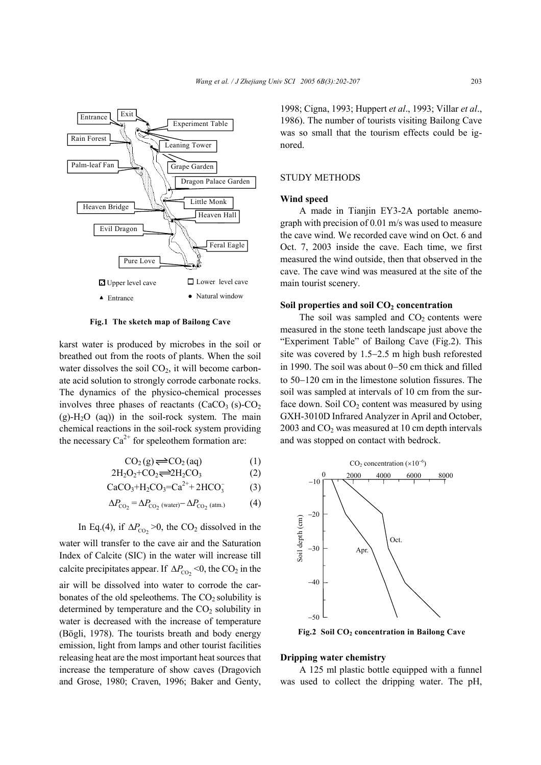

**Fig.1 The sketch map of Bailong Cave**

karst water is produced by microbes in the soil or breathed out from the roots of plants. When the soil water dissolves the soil  $CO<sub>2</sub>$ , it will become carbonate acid solution to strongly corrode carbonate rocks. The dynamics of the physico-chemical processes involves three phases of reactants  $(CaCO<sub>3</sub> (s)-CO<sub>2</sub>)$  $(g)$ -H<sub>2</sub>O (aq)) in the soil-rock system. The main chemical reactions in the soil-rock system providing the necessary  $Ca^{2+}$  for speleothem formation are:

$$
CO_2(g) \rightleftharpoons CO_2(aq) \tag{1}
$$

$$
2H_2O_2+CO_2 \rightleftharpoons 2H_2CO_3 \tag{2}
$$

$$
CaCO3+H2CO3=Ca2++2HCO3
$$
 (3)

$$
\Delta P_{\text{CO}_2} = \Delta P_{\text{CO}_2 \text{ (water)}} - \Delta P_{\text{CO}_2 \text{ (atm.)}} \tag{4}
$$

In Eq.(4), if  $\Delta P_{\text{CO}_2}$  >0, the CO<sub>2</sub> dissolved in the water will transfer to the cave air and the Saturation Index of Calcite (SIC) in the water will increase till calcite precipitates appear. If  $\Delta P_{\text{CO}_2}$  <0, the CO<sub>2</sub> in the air will be dissolved into water to corrode the carbonates of the old speleothems. The  $CO<sub>2</sub>$  solubility is determined by temperature and the  $CO<sub>2</sub>$  solubility in water is decreased with the increase of temperature (Bögli, 1978). The tourists breath and body energy emission, light from lamps and other tourist facilities releasing heat are the most important heat sources that increase the temperature of show caves (Dragovich and Grose, 1980; Craven, 1996; Baker and Genty, 1998; Cigna, 1993; Huppert *et al*., 1993; Villar *et al*., 1986). The number of tourists visiting Bailong Cave was so small that the tourism effects could be ignored.

#### STUDY METHODS

#### **Wind speed**

A made in Tianjin EY3-2A portable anemograph with precision of 0.01 m/s was used to measure the cave wind. We recorded cave wind on Oct. 6 and Oct. 7, 2003 inside the cave. Each time, we first measured the wind outside, then that observed in the cave. The cave wind was measured at the site of the main tourist scenery.

#### Soil properties and soil CO<sub>2</sub> concentration

The soil was sampled and  $CO<sub>2</sub>$  contents were measured in the stone teeth landscape just above the "Experiment Table" of Bailong Cave (Fig.2). This site was covered by 1.5−2.5 m high bush reforested in 1990. The soil was about 0−50 cm thick and filled to 50−120 cm in the limestone solution fissures. The soil was sampled at intervals of 10 cm from the surface down. Soil  $CO<sub>2</sub>$  content was measured by using GXH-3010D Infrared Analyzer in April and October, 2003 and  $CO<sub>2</sub>$  was measured at 10 cm depth intervals and was stopped on contact with bedrock.



Fig.2 Soil CO<sub>2</sub> concentration in Bailong Cave

#### **Dripping water chemistry**

A 125 ml plastic bottle equipped with a funnel was used to collect the dripping water. The pH,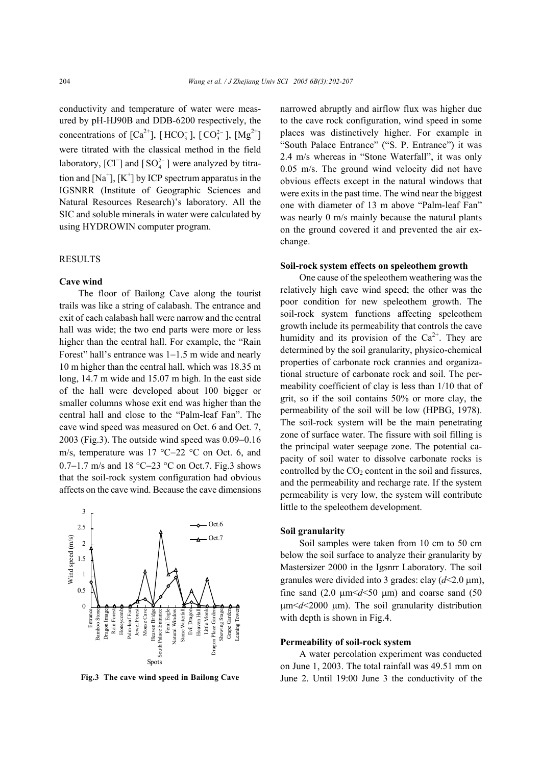conductivity and temperature of water were measured by pH-HJ90B and DDB-6200 respectively, the concentrations of  $[Ca^{2+}]$ ,  $[HCO_3^-]$ ,  $[CO_3^{2-}]$ ,  $[Mg^{2+}]$ were titrated with the classical method in the field laboratory, [Cl<sup>-</sup>] and [SO<sup>2-</sup><sub>4</sub>] were analyzed by titration and  $[Na^+]$ ,  $[K^+]$  by ICP spectrum apparatus in the IGSNRR (Institute of Geographic Sciences and Natural Resources Research)'s laboratory. All the SIC and soluble minerals in water were calculated by using HYDROWIN computer program.

# **RESULTS**

### **Cave wind**

The floor of Bailong Cave along the tourist trails was like a string of calabash. The entrance and exit of each calabash hall were narrow and the central hall was wide; the two end parts were more or less higher than the central hall. For example, the "Rain Forest" hall's entrance was 1−1.5 m wide and nearly 10 m higher than the central hall, which was 18.35 m long, 14.7 m wide and 15.07 m high. In the east side of the hall were developed about 100 bigger or smaller columns whose exit end was higher than the central hall and close to the "Palm-leaf Fan". The cave wind speed was measured on Oct. 6 and Oct. 7, 2003 (Fig.3). The outside wind speed was 0.09−0.16 m/s, temperature was 17 °C−22 °C on Oct. 6, and 0.7−1.7 m/s and 18 °C−23 °C on Oct.7. Fig.3 shows that the soil-rock system configuration had obvious affects on the cave wind. Because the cave dimensions



narrowed abruptly and airflow flux was higher due to the cave rock configuration, wind speed in some places was distinctively higher. For example in "South Palace Entrance" ("S. P. Entrance") it was 2.4 m/s whereas in "Stone Waterfall", it was only 0.05 m/s. The ground wind velocity did not have obvious effects except in the natural windows that were exits in the past time. The wind near the biggest one with diameter of 13 m above "Palm-leaf Fan" was nearly 0 m/s mainly because the natural plants on the ground covered it and prevented the air exchange.

#### **Soil-rock system effects on speleothem growth**

One cause of the speleothem weathering was the relatively high cave wind speed; the other was the poor condition for new speleothem growth. The soil-rock system functions affecting speleothem growth include its permeability that controls the cave humidity and its provision of the  $Ca<sup>2+</sup>$ . They are determined by the soil granularity, physico-chemical properties of carbonate rock crannies and organizational structure of carbonate rock and soil. The permeability coefficient of clay is less than 1/10 that of grit, so if the soil contains 50% or more clay, the permeability of the soil will be low (HPBG, 1978). The soil-rock system will be the main penetrating zone of surface water. The fissure with soil filling is the principal water seepage zone. The potential capacity of soil water to dissolve carbonate rocks is controlled by the  $CO<sub>2</sub>$  content in the soil and fissures, and the permeability and recharge rate. If the system permeability is very low, the system will contribute little to the speleothem development.

## **Soil granularity**

Soil samples were taken from 10 cm to 50 cm below the soil surface to analyze their granularity by Mastersizer 2000 in the Igsnrr Laboratory. The soil granules were divided into 3 grades: clay  $(d<2.0 \text{ }\mu\text{m})$ , fine sand  $(2.0 \text{ }\mu\text{m} < d < 50 \text{ }\mu\text{m})$  and coarse sand  $(50 \text{ }\mu\text{m})$ µm<*d*<2000 µm). The soil granularity distribution with depth is shown in Fig.4.

#### **Permeability of soil-rock system**

A water percolation experiment was conducted on June 1, 2003. The total rainfall was 49.51 mm on **Fig.3 The cave wind speed in Bailong Cave** June 2. Until 19:00 June 3 the conductivity of the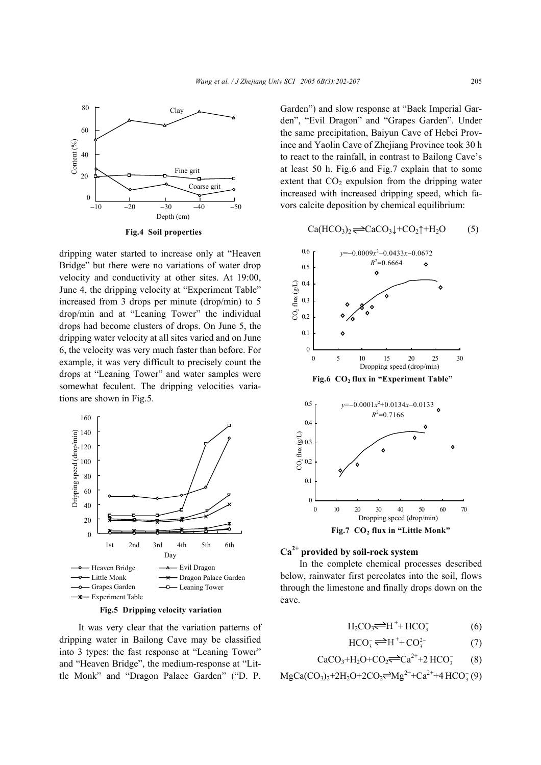

**Fig.4 Soil properties**

dripping water started to increase only at "Heaven Bridge" but there were no variations of water drop velocity and conductivity at other sites. At 19:00, June 4, the dripping velocity at "Experiment Table" increased from 3 drops per minute (drop/min) to 5 drop/min and at "Leaning Tower" the individual drops had become clusters of drops. On June 5, the dripping water velocity at all sites varied and on June 6, the velocity was very much faster than before. For example, it was very difficult to precisely count the drops at "Leaning Tower" and water samples were somewhat feculent. The dripping velocities variations are shown in Fig.5.





It was very clear that the variation patterns of dripping water in Bailong Cave may be classified into 3 types: the fast response at "Leaning Tower" and "Heaven Bridge", the medium-response at "Little Monk" and "Dragon Palace Garden" ("D. P.

Garden") and slow response at "Back Imperial Garden", "Evil Dragon" and "Grapes Garden". Under the same precipitation, Baiyun Cave of Hebei Province and Yaolin Cave of Zhejiang Province took 30 h to react to the rainfall, in contrast to Bailong Cave's at least 50 h. Fig.6 and Fig.7 explain that to some extent that  $CO<sub>2</sub>$  expulsion from the dripping water increased with increased dripping speed, which favors calcite deposition by chemical equilibrium:

$$
\text{Ca}(\text{HCO}_3)_2 \rightleftharpoons \text{CaCO}_3 \downarrow + \text{CO}_2 \uparrow + \text{H}_2 \text{O} \tag{5}
$$



# **Ca2+ provided by soil-rock system**

In the complete chemical processes described below, rainwater first percolates into the soil, flows through the limestone and finally drops down on the cave.

$$
H_2CO_3 \stackrel{\longrightarrow}{\longrightarrow} H^+ + HCO_3^-
$$
 (6)

$$
HCO_3^- \rightleftharpoons H^+ + CO_3^{2-} \tag{7}
$$

$$
CaCO3+H2O+CO2 \implies Ca2++2 HCO3- (8)
$$

 $MgCa(CO<sub>3</sub>)<sub>2</sub>+2H<sub>2</sub>O+2CO<sub>2</sub> \rightleftharpoons Mg<sup>2+</sup>+Ca<sup>2+</sup>+4 HCO<sub>3</sub><sup>-</sup>(9)$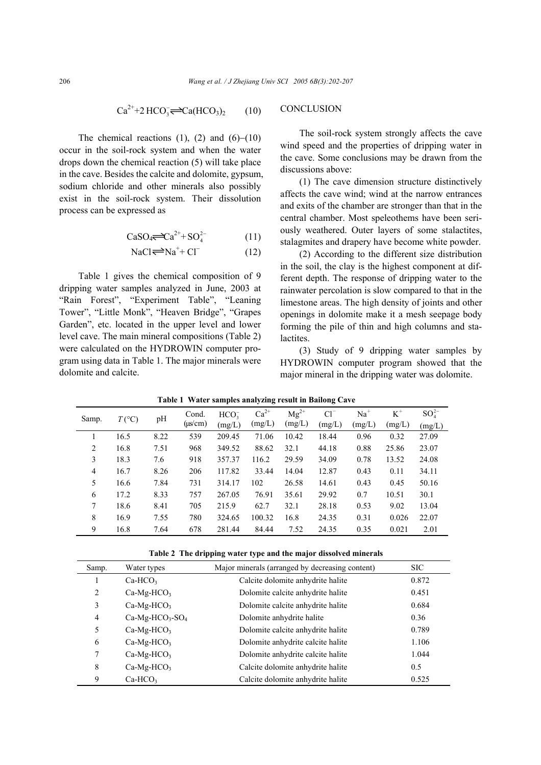$$
\text{Ca}^{2+} + 2 \text{HCO}_3 \rightleftharpoons \text{Ca}(\text{HCO}_3)_2 \tag{10}
$$

The chemical reactions  $(1)$ ,  $(2)$  and  $(6)–(10)$ occur in the soil-rock system and when the water drops down the chemical reaction (5) will take place in the cave. Besides the calcite and dolomite, gypsum, sodium chloride and other minerals also possibly exist in the soil-rock system. Their dissolution process can be expressed as

$$
CaSO_4 \Longleftrightarrow Ca^{2+} + SO_4^{2-} \tag{11}
$$

$$
NaCl \rightleftharpoons Na^{+} + Cl^{-}
$$
 (12)

Table 1 gives the chemical composition of 9 dripping water samples analyzed in June, 2003 at "Rain Forest", "Experiment Table", "Leaning Tower", "Little Monk", "Heaven Bridge", "Grapes Garden", etc. located in the upper level and lower level cave. The main mineral compositions (Table 2) were calculated on the HYDROWIN computer program using data in Table 1. The major minerals were dolomite and calcite.

# **CONCLUSION**

The soil-rock system strongly affects the cave wind speed and the properties of dripping water in the cave. Some conclusions may be drawn from the discussions above:

(1) The cave dimension structure distinctively affects the cave wind; wind at the narrow entrances and exits of the chamber are stronger than that in the central chamber. Most speleothems have been seriously weathered. Outer layers of some stalactites, stalagmites and drapery have become white powder.

(2) According to the different size distribution in the soil, the clay is the highest component at different depth. The response of dripping water to the rainwater percolation is slow compared to that in the limestone areas. The high density of joints and other openings in dolomite make it a mesh seepage body forming the pile of thin and high columns and stalactites.

(3) Study of 9 dripping water samples by HYDROWIN computer program showed that the major mineral in the dripping water was dolomite.

| Samp.          | $T({}^{\circ}C)$ | pН   | Cond.<br>$(\mu s/cm)$ | HCO <sub>2</sub><br>(mg/L) | $Ca^{2+}$<br>(mg/L) | $Mg^{2+}$<br>(mg/L) | $Cl^{-}$<br>(mg/L) | $Na+$<br>(mg/L) | $K^+$<br>(mg/L) | $SO_4^{2-}$<br>(mg/L) |
|----------------|------------------|------|-----------------------|----------------------------|---------------------|---------------------|--------------------|-----------------|-----------------|-----------------------|
|                |                  |      |                       |                            |                     |                     |                    |                 |                 |                       |
|                | 16.5             | 8.22 | 539                   | 209.45                     | 71.06               | 10.42               | 18.44              | 0.96            | 0.32            | 27.09                 |
| 2              | 16.8             | 7.51 | 968                   | 349.52                     | 88.62               | 32.1                | 44.18              | 0.88            | 25.86           | 23.07                 |
| 3              | 18.3             | 7.6  | 918                   | 357.37                     | 116.2               | 29.59               | 34.09              | 0.78            | 13.52           | 24.08                 |
| $\overline{4}$ | 16.7             | 8.26 | 206                   | 117.82                     | 33.44               | 14.04               | 12.87              | 0.43            | 0.11            | 34.11                 |
| 5              | 16.6             | 7.84 | 731                   | 314.17                     | 102                 | 26.58               | 14.61              | 0.43            | 0.45            | 50.16                 |
| 6              | 17.2             | 8.33 | 757                   | 267.05                     | 76.91               | 35.61               | 29.92              | 0.7             | 10.51           | 30.1                  |
| 7              | 18.6             | 8.41 | 705                   | 215.9                      | 62.7                | 32.1                | 28.18              | 0.53            | 9.02            | 13.04                 |
| 8              | 16.9             | 7.55 | 780                   | 324.65                     | 100.32              | 16.8                | 24.35              | 0.31            | 0.026           | 22.07                 |
| 9              | 16.8             | 7.64 | 678                   | 281.44                     | 84.44               | 7.52                | 24.35              | 0.35            | 0.021           | 2.01                  |

**Table 1 Water samples analyzing result in Bailong Cave** 

**Table 2 The dripping water type and the major dissolved minerals** 

| Samp.          | Water types      | Major minerals (arranged by decreasing content) | <b>SIC</b> |
|----------------|------------------|-------------------------------------------------|------------|
|                | $Ca-HCO3$        | Calcite dolomite anhydrite halite               | 0.872      |
| 2              | $Ca-Mg-HCO3$     | Dolomite calcite anhydrite halite               | 0.451      |
| 3              | $Ca-Mg-HCO3$     | Dolomite calcite anhydrite halite               | 0.684      |
| $\overline{4}$ | $Ca-Mg-HCO3-SO4$ | Dolomite anhydrite halite                       | 0.36       |
| 5              | $Ca-Mg-HCO3$     | Dolomite calcite anhydrite halite               | 0.789      |
| 6              | $Ca-Mg-HCO3$     | Dolomite anhydrite calcite halite               | 1.106      |
| 7              | $Ca-Mg-HCO3$     | Dolomite anhydrite calcite halite               | 1.044      |
| 8              | $Ca-Mg-HCO3$     | Calcite dolomite anhydrite halite               | 0.5        |
| 9              | $Ca-HCO3$        | Calcite dolomite anhydrite halite               | 0.525      |